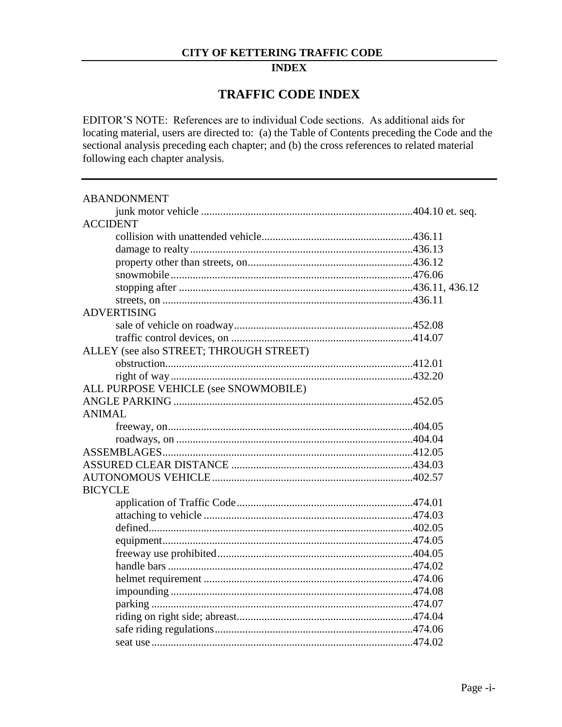#### **INDEX**

### **TRAFFIC CODE INDEX**

EDITOR'S NOTE: References are to individual Code sections. As additional aids for locating material, users are directed to: (a) the Table of Contents preceding the Code and the sectional analysis preceding each chapter; and (b) the cross references to related material following each chapter analysis.

| <b>ABANDONMENT</b>                      |  |
|-----------------------------------------|--|
|                                         |  |
| <b>ACCIDENT</b>                         |  |
|                                         |  |
|                                         |  |
|                                         |  |
|                                         |  |
|                                         |  |
|                                         |  |
| <b>ADVERTISING</b>                      |  |
|                                         |  |
|                                         |  |
| ALLEY (see also STREET; THROUGH STREET) |  |
|                                         |  |
|                                         |  |
| ALL PURPOSE VEHICLE (see SNOWMOBILE)    |  |
|                                         |  |
| <b>ANIMAL</b>                           |  |
|                                         |  |
|                                         |  |
|                                         |  |
|                                         |  |
|                                         |  |
| <b>BICYCLE</b>                          |  |
|                                         |  |
|                                         |  |
|                                         |  |
|                                         |  |
|                                         |  |
|                                         |  |
|                                         |  |
|                                         |  |
|                                         |  |
|                                         |  |
|                                         |  |
|                                         |  |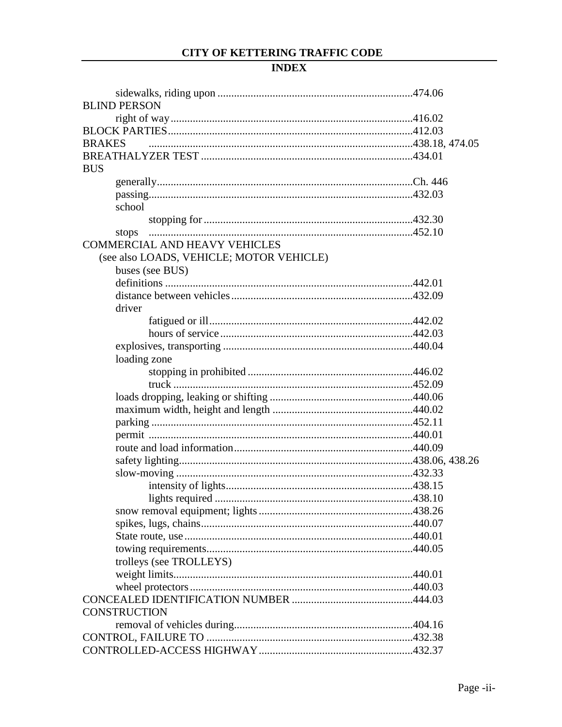| <b>BLIND PERSON</b>                      |  |
|------------------------------------------|--|
|                                          |  |
|                                          |  |
| <b>BRAKES</b>                            |  |
|                                          |  |
| <b>BUS</b>                               |  |
|                                          |  |
|                                          |  |
| school                                   |  |
|                                          |  |
| stops                                    |  |
| <b>COMMERCIAL AND HEAVY VEHICLES</b>     |  |
| (see also LOADS, VEHICLE; MOTOR VEHICLE) |  |
| buses (see BUS)                          |  |
|                                          |  |
|                                          |  |
| driver                                   |  |
|                                          |  |
|                                          |  |
|                                          |  |
|                                          |  |
| loading zone                             |  |
|                                          |  |
|                                          |  |
|                                          |  |
|                                          |  |
|                                          |  |
|                                          |  |
|                                          |  |
|                                          |  |
|                                          |  |
|                                          |  |
|                                          |  |
|                                          |  |
|                                          |  |
|                                          |  |
|                                          |  |
| trolleys (see TROLLEYS)                  |  |
|                                          |  |
|                                          |  |
|                                          |  |
| <b>CONSTRUCTION</b>                      |  |
|                                          |  |
|                                          |  |
|                                          |  |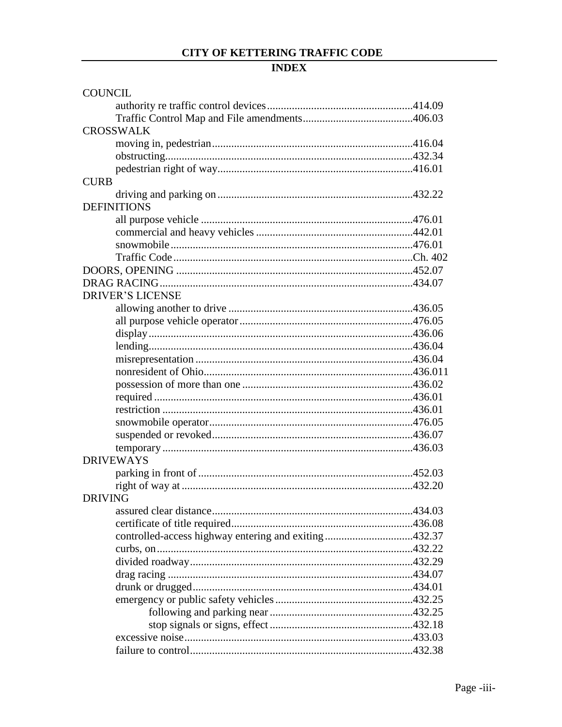| <b>COUNCIL</b>                                       |  |
|------------------------------------------------------|--|
|                                                      |  |
|                                                      |  |
| <b>CROSSWALK</b>                                     |  |
|                                                      |  |
|                                                      |  |
|                                                      |  |
| <b>CURB</b>                                          |  |
|                                                      |  |
| <b>DEFINITIONS</b>                                   |  |
|                                                      |  |
|                                                      |  |
|                                                      |  |
|                                                      |  |
|                                                      |  |
|                                                      |  |
| <b>DRIVER'S LICENSE</b>                              |  |
|                                                      |  |
|                                                      |  |
|                                                      |  |
|                                                      |  |
|                                                      |  |
|                                                      |  |
|                                                      |  |
|                                                      |  |
|                                                      |  |
|                                                      |  |
|                                                      |  |
|                                                      |  |
| <b>DRIVEWAYS</b>                                     |  |
|                                                      |  |
|                                                      |  |
| <b>DRIVING</b>                                       |  |
|                                                      |  |
|                                                      |  |
| controlled-access highway entering and exiting432.37 |  |
|                                                      |  |
|                                                      |  |
|                                                      |  |
|                                                      |  |
|                                                      |  |
|                                                      |  |
|                                                      |  |
|                                                      |  |
|                                                      |  |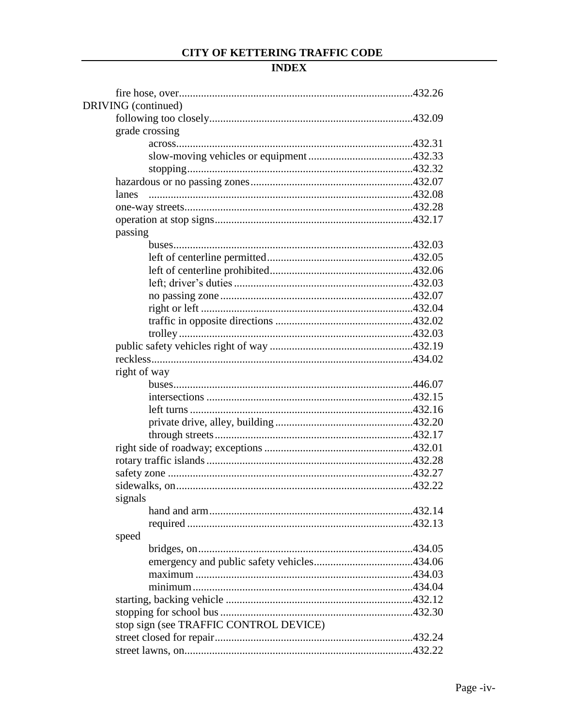| DRIVING (continued)                    |  |
|----------------------------------------|--|
|                                        |  |
| grade crossing                         |  |
|                                        |  |
|                                        |  |
|                                        |  |
|                                        |  |
| lanes                                  |  |
|                                        |  |
|                                        |  |
| passing                                |  |
|                                        |  |
|                                        |  |
|                                        |  |
|                                        |  |
|                                        |  |
|                                        |  |
|                                        |  |
|                                        |  |
|                                        |  |
|                                        |  |
| right of way                           |  |
|                                        |  |
|                                        |  |
|                                        |  |
|                                        |  |
|                                        |  |
|                                        |  |
|                                        |  |
|                                        |  |
|                                        |  |
| signals                                |  |
|                                        |  |
|                                        |  |
| speed                                  |  |
|                                        |  |
|                                        |  |
|                                        |  |
|                                        |  |
|                                        |  |
|                                        |  |
| stop sign (see TRAFFIC CONTROL DEVICE) |  |
|                                        |  |
|                                        |  |
|                                        |  |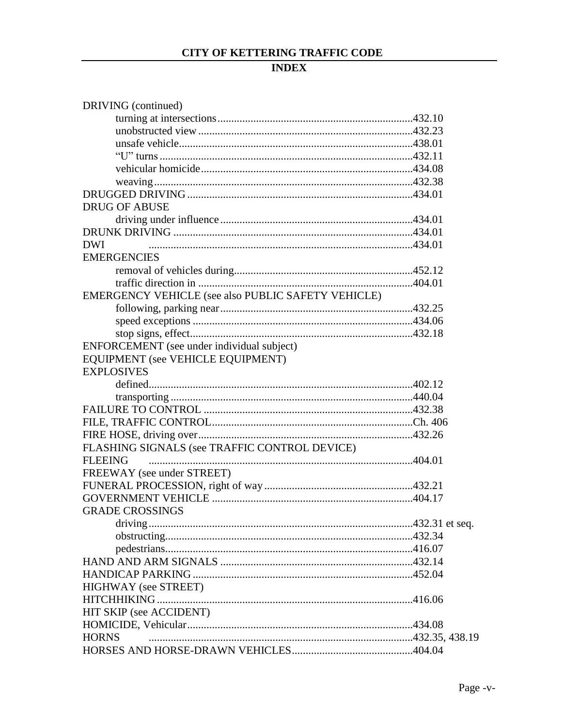| DRIVING (continued)                                |  |
|----------------------------------------------------|--|
|                                                    |  |
|                                                    |  |
|                                                    |  |
|                                                    |  |
|                                                    |  |
|                                                    |  |
|                                                    |  |
| <b>DRUG OF ABUSE</b>                               |  |
|                                                    |  |
|                                                    |  |
| <b>DWI</b>                                         |  |
| <b>EMERGENCIES</b>                                 |  |
|                                                    |  |
|                                                    |  |
| EMERGENCY VEHICLE (see also PUBLIC SAFETY VEHICLE) |  |
|                                                    |  |
|                                                    |  |
|                                                    |  |
| ENFORCEMENT (see under individual subject)         |  |
| EQUIPMENT (see VEHICLE EQUIPMENT)                  |  |
| <b>EXPLOSIVES</b>                                  |  |
|                                                    |  |
|                                                    |  |
|                                                    |  |
|                                                    |  |
|                                                    |  |
| FLASHING SIGNALS (see TRAFFIC CONTROL DEVICE)      |  |
| <b>FLEEING</b>                                     |  |
| FREEWAY (see under STREET)                         |  |
|                                                    |  |
|                                                    |  |
| GRADE CROSSINGS                                    |  |
|                                                    |  |
|                                                    |  |
|                                                    |  |
|                                                    |  |
|                                                    |  |
| <b>HIGHWAY</b> (see STREET)                        |  |
|                                                    |  |
| HIT SKIP (see ACCIDENT)                            |  |
|                                                    |  |
| <b>HORNS</b>                                       |  |
|                                                    |  |
|                                                    |  |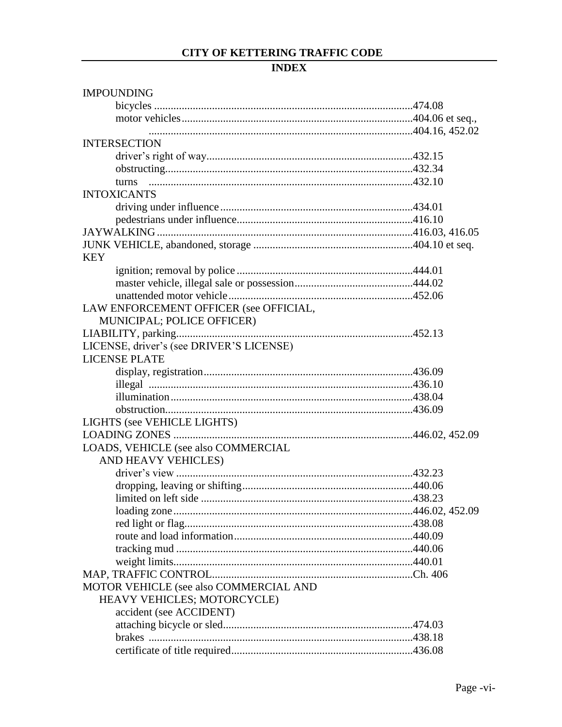| <b>IMPOUNDING</b>                        |  |
|------------------------------------------|--|
|                                          |  |
|                                          |  |
|                                          |  |
| <b>INTERSECTION</b>                      |  |
|                                          |  |
|                                          |  |
|                                          |  |
| <b>INTOXICANTS</b>                       |  |
|                                          |  |
|                                          |  |
|                                          |  |
|                                          |  |
|                                          |  |
| <b>KEY</b>                               |  |
|                                          |  |
|                                          |  |
|                                          |  |
| LAW ENFORCEMENT OFFICER (see OFFICIAL,   |  |
| MUNICIPAL; POLICE OFFICER)               |  |
|                                          |  |
| LICENSE, driver's (see DRIVER'S LICENSE) |  |
| <b>LICENSE PLATE</b>                     |  |
|                                          |  |
|                                          |  |
|                                          |  |
|                                          |  |
| LIGHTS (see VEHICLE LIGHTS)              |  |
|                                          |  |
| LOADS, VEHICLE (see also COMMERCIAL      |  |
| AND HEAVY VEHICLES)                      |  |
|                                          |  |
|                                          |  |
|                                          |  |
|                                          |  |
|                                          |  |
|                                          |  |
|                                          |  |
|                                          |  |
|                                          |  |
| MOTOR VEHICLE (see also COMMERCIAL AND   |  |
| HEAVY VEHICLES; MOTORCYCLE)              |  |
| accident (see ACCIDENT)                  |  |
|                                          |  |
|                                          |  |
|                                          |  |
|                                          |  |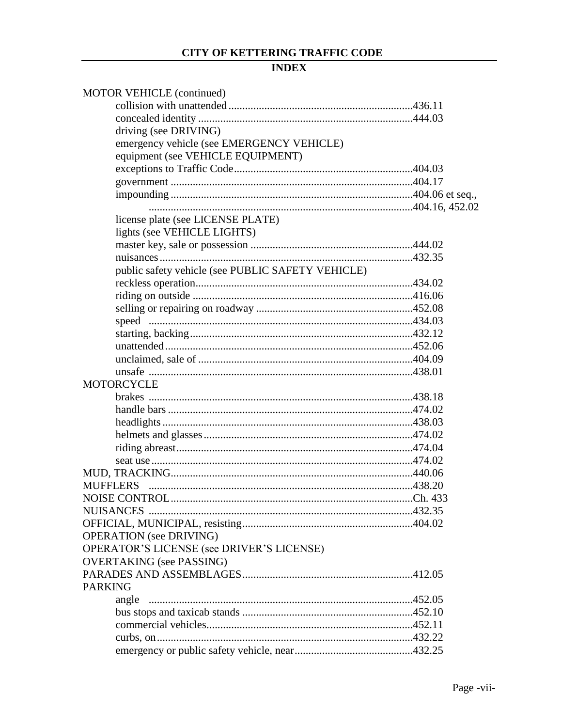| <b>MOTOR VEHICLE (continued)</b>                  |  |
|---------------------------------------------------|--|
|                                                   |  |
|                                                   |  |
| driving (see DRIVING)                             |  |
| emergency vehicle (see EMERGENCY VEHICLE)         |  |
| equipment (see VEHICLE EQUIPMENT)                 |  |
|                                                   |  |
|                                                   |  |
|                                                   |  |
|                                                   |  |
| license plate (see LICENSE PLATE)                 |  |
| lights (see VEHICLE LIGHTS)                       |  |
|                                                   |  |
|                                                   |  |
| public safety vehicle (see PUBLIC SAFETY VEHICLE) |  |
|                                                   |  |
|                                                   |  |
|                                                   |  |
|                                                   |  |
|                                                   |  |
|                                                   |  |
|                                                   |  |
|                                                   |  |
| <b>MOTORCYCLE</b>                                 |  |
|                                                   |  |
|                                                   |  |
|                                                   |  |
|                                                   |  |
|                                                   |  |
|                                                   |  |
|                                                   |  |
|                                                   |  |
|                                                   |  |
|                                                   |  |
|                                                   |  |
| <b>OPERATION</b> (see DRIVING)                    |  |
| OPERATOR'S LICENSE (see DRIVER'S LICENSE)         |  |
| <b>OVERTAKING</b> (see PASSING)                   |  |
|                                                   |  |
| <b>PARKING</b>                                    |  |
|                                                   |  |
|                                                   |  |
|                                                   |  |
|                                                   |  |
|                                                   |  |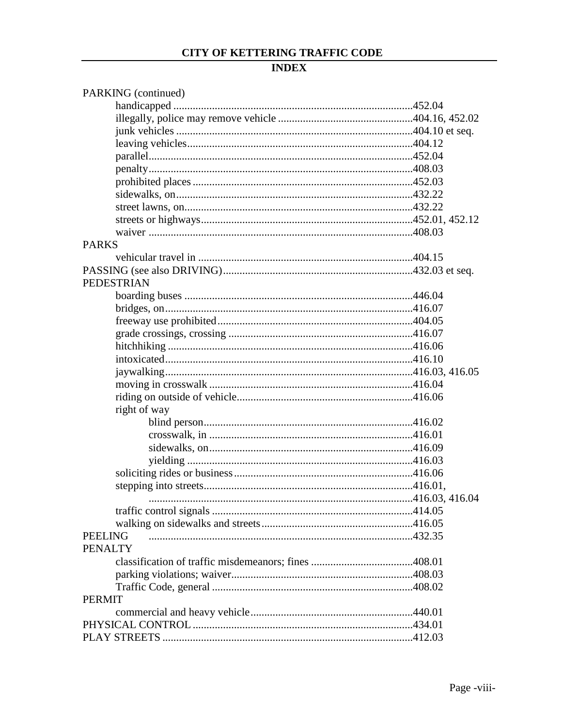| PARKING (continued) |  |
|---------------------|--|
|                     |  |
|                     |  |
|                     |  |
|                     |  |
|                     |  |
|                     |  |
|                     |  |
|                     |  |
|                     |  |
|                     |  |
|                     |  |
| <b>PARKS</b>        |  |
|                     |  |
|                     |  |
| <b>PEDESTRIAN</b>   |  |
|                     |  |
|                     |  |
|                     |  |
|                     |  |
|                     |  |
|                     |  |
|                     |  |
|                     |  |
|                     |  |
| right of way        |  |
|                     |  |
|                     |  |
|                     |  |
|                     |  |
|                     |  |
|                     |  |
|                     |  |
|                     |  |
|                     |  |
| <b>PEELING</b>      |  |
| <b>PENALTY</b>      |  |
|                     |  |
|                     |  |
|                     |  |
| <b>PERMIT</b>       |  |
|                     |  |
|                     |  |
|                     |  |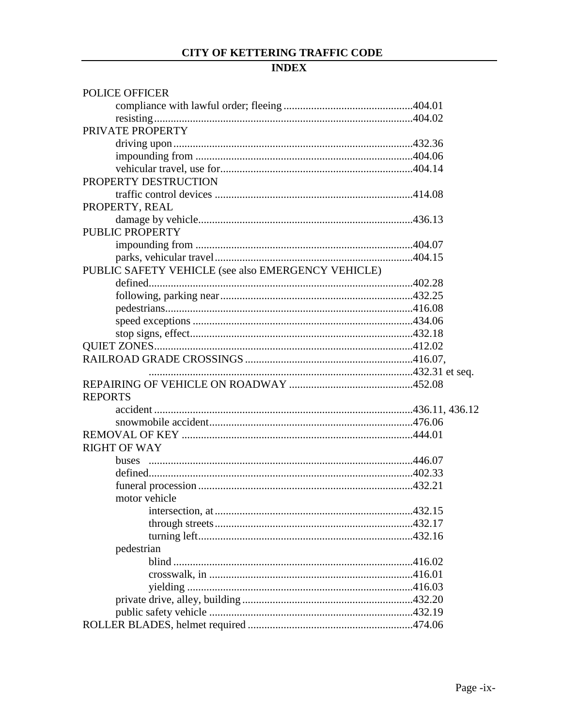| <b>POLICE OFFICER</b>                              |  |
|----------------------------------------------------|--|
|                                                    |  |
|                                                    |  |
| PRIVATE PROPERTY                                   |  |
|                                                    |  |
|                                                    |  |
|                                                    |  |
| PROPERTY DESTRUCTION                               |  |
|                                                    |  |
| PROPERTY, REAL                                     |  |
|                                                    |  |
| <b>PUBLIC PROPERTY</b>                             |  |
|                                                    |  |
|                                                    |  |
| PUBLIC SAFETY VEHICLE (see also EMERGENCY VEHICLE) |  |
|                                                    |  |
|                                                    |  |
|                                                    |  |
|                                                    |  |
|                                                    |  |
|                                                    |  |
|                                                    |  |
|                                                    |  |
|                                                    |  |
| <b>REPORTS</b>                                     |  |
|                                                    |  |
|                                                    |  |
|                                                    |  |
| <b>RIGHT OF WAY</b>                                |  |
|                                                    |  |
|                                                    |  |
|                                                    |  |
| motor vehicle                                      |  |
|                                                    |  |
|                                                    |  |
|                                                    |  |
| pedestrian                                         |  |
|                                                    |  |
|                                                    |  |
|                                                    |  |
|                                                    |  |
|                                                    |  |
|                                                    |  |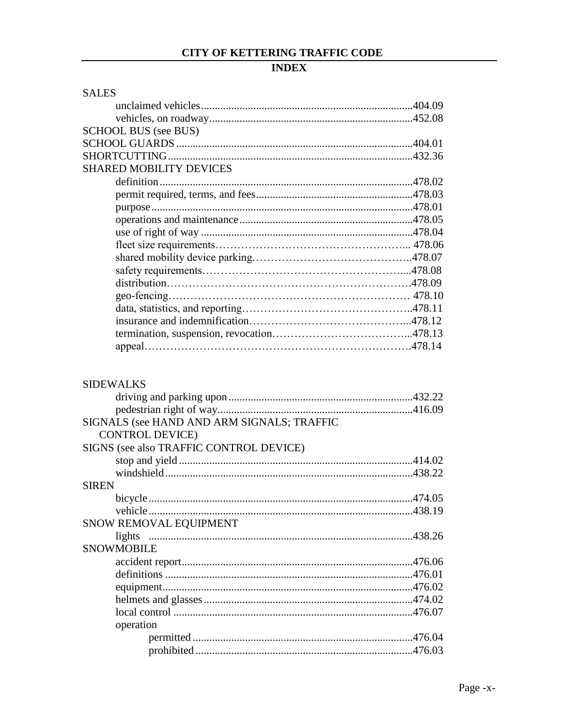| <b>SALES</b>      |                                            |        |
|-------------------|--------------------------------------------|--------|
|                   |                                            |        |
|                   |                                            |        |
|                   | <b>SCHOOL BUS (see BUS)</b>                |        |
|                   |                                            |        |
|                   |                                            |        |
|                   | <b>SHARED MOBILITY DEVICES</b>             |        |
|                   |                                            |        |
|                   |                                            |        |
|                   |                                            |        |
|                   |                                            |        |
|                   |                                            |        |
|                   |                                            |        |
|                   |                                            |        |
|                   |                                            |        |
|                   |                                            |        |
|                   |                                            |        |
|                   |                                            |        |
|                   |                                            |        |
|                   |                                            |        |
|                   |                                            |        |
| <b>SIDEWALKS</b>  |                                            |        |
|                   |                                            |        |
|                   |                                            |        |
|                   | SIGNALS (see HAND AND ARM SIGNALS; TRAFFIC |        |
|                   | <b>CONTROL DEVICE)</b>                     |        |
|                   | SIGNS (see also TRAFFIC CONTROL DEVICE)    |        |
|                   |                                            |        |
|                   |                                            |        |
| <b>SIREN</b>      |                                            |        |
| bicycle           |                                            | 474.05 |
|                   |                                            |        |
|                   | SNOW REMOVAL EQUIPMENT                     |        |
| lights            |                                            |        |
| <b>SNOWMOBILE</b> |                                            |        |
|                   |                                            |        |
|                   |                                            |        |
|                   |                                            |        |
|                   |                                            |        |
|                   |                                            |        |
|                   | operation                                  |        |
|                   |                                            |        |
|                   |                                            |        |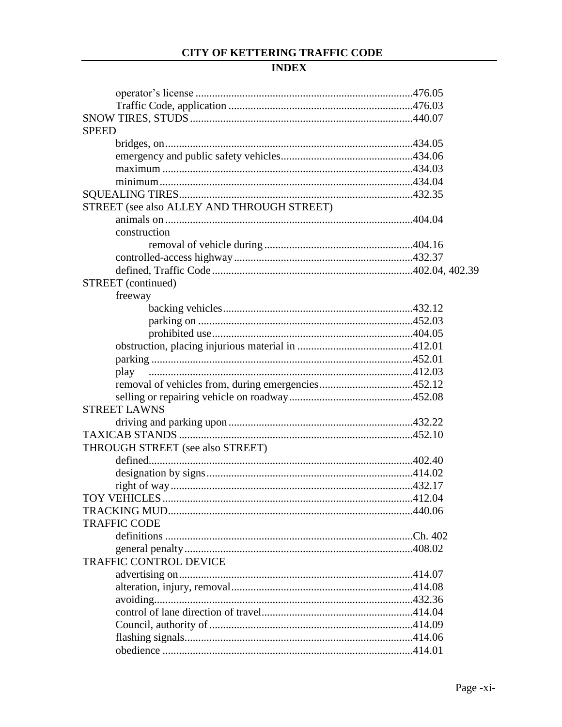| <b>SPEED</b>                               |  |
|--------------------------------------------|--|
|                                            |  |
|                                            |  |
|                                            |  |
|                                            |  |
|                                            |  |
| STREET (see also ALLEY AND THROUGH STREET) |  |
|                                            |  |
| construction                               |  |
|                                            |  |
|                                            |  |
|                                            |  |
| STREET (continued)                         |  |
| freeway                                    |  |
|                                            |  |
|                                            |  |
|                                            |  |
|                                            |  |
|                                            |  |
| play                                       |  |
|                                            |  |
|                                            |  |
| <b>STREET LAWNS</b>                        |  |
|                                            |  |
|                                            |  |
| THROUGH STREET (see also STREET)           |  |
|                                            |  |
|                                            |  |
|                                            |  |
|                                            |  |
|                                            |  |
| <b>TRAFFIC CODE</b>                        |  |
|                                            |  |
|                                            |  |
| <b>TRAFFIC CONTROL DEVICE</b>              |  |
|                                            |  |
|                                            |  |
|                                            |  |
|                                            |  |
|                                            |  |
|                                            |  |
|                                            |  |
|                                            |  |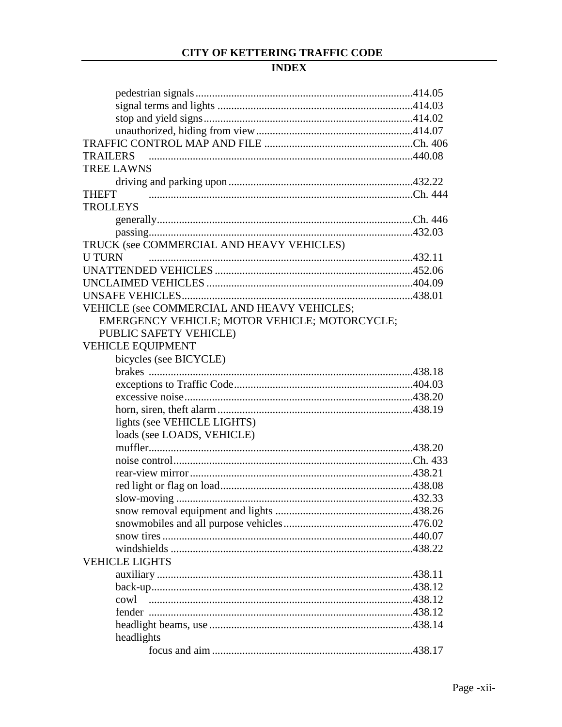| <b>TRAILERS</b>                               |  |
|-----------------------------------------------|--|
| <b>TREE LAWNS</b>                             |  |
|                                               |  |
| <b>THEFT</b>                                  |  |
| <b>TROLLEYS</b>                               |  |
|                                               |  |
|                                               |  |
| TRUCK (see COMMERCIAL AND HEAVY VEHICLES)     |  |
| <b>U TURN</b>                                 |  |
|                                               |  |
|                                               |  |
|                                               |  |
| VEHICLE (see COMMERCIAL AND HEAVY VEHICLES;   |  |
| EMERGENCY VEHICLE; MOTOR VEHICLE; MOTORCYCLE; |  |
| PUBLIC SAFETY VEHICLE)                        |  |
| VEHICLE EQUIPMENT                             |  |
| bicycles (see BICYCLE)                        |  |
|                                               |  |
|                                               |  |
|                                               |  |
|                                               |  |
| lights (see VEHICLE LIGHTS)                   |  |
| loads (see LOADS, VEHICLE)                    |  |
|                                               |  |
|                                               |  |
|                                               |  |
|                                               |  |
| slow-moving                                   |  |
|                                               |  |
|                                               |  |
|                                               |  |
|                                               |  |
| <b>VEHICLE LIGHTS</b>                         |  |
|                                               |  |
|                                               |  |
| cowl                                          |  |
|                                               |  |
|                                               |  |
|                                               |  |
| headlights                                    |  |
|                                               |  |